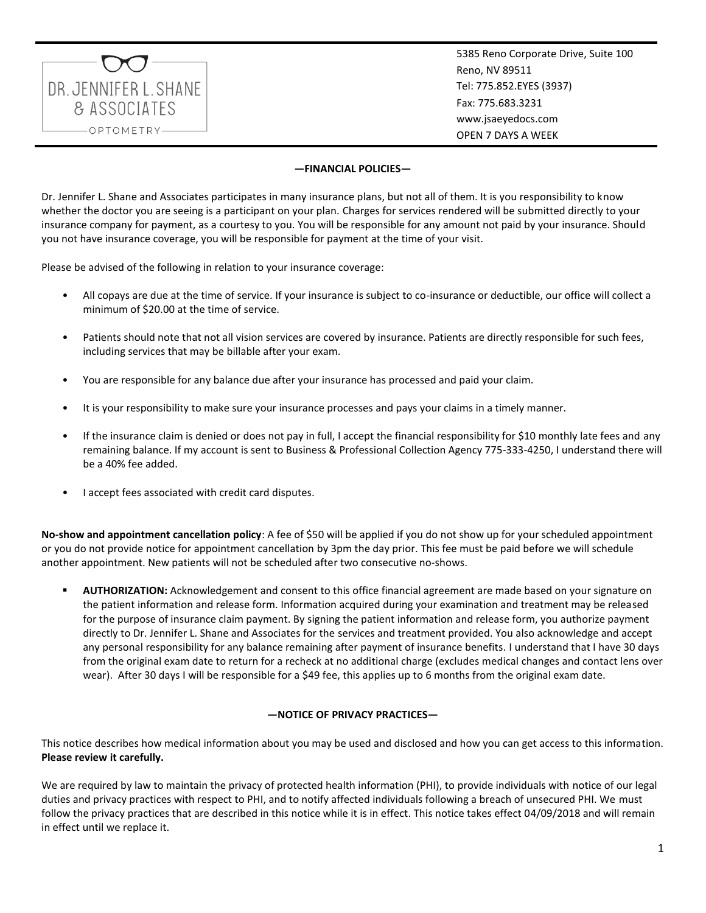

5385 Reno Corporate Drive, Suite 100 Reno, NV 89511 Tel: 775.852.EYES (3937) Fax: 775.683.3231 www.jsaeyedocs.com OPEN 7 DAYS A WEEK

## **—FINANCIAL POLICIES—**

Dr. Jennifer L. Shane and Associates participates in many insurance plans, but not all of them. It is you responsibility to know whether the doctor you are seeing is a participant on your plan. Charges for services rendered will be submitted directly to your insurance company for payment, as a courtesy to you. You will be responsible for any amount not paid by your insurance. Should you not have insurance coverage, you will be responsible for payment at the time of your visit.

Please be advised of the following in relation to your insurance coverage:

- All copays are due at the time of service. If your insurance is subject to co-insurance or deductible, our office will collect a minimum of \$20.00 at the time of service.
- Patients should note that not all vision services are covered by insurance. Patients are directly responsible for such fees, including services that may be billable after your exam.
- You are responsible for any balance due after your insurance has processed and paid your claim.
- It is your responsibility to make sure your insurance processes and pays your claims in a timely manner.
- If the insurance claim is denied or does not pay in full, I accept the financial responsibility for \$10 monthly late fees and any remaining balance. If my account is sent to Business & Professional Collection Agency 775-333-4250, I understand there will be a 40% fee added.
- I accept fees associated with credit card disputes.

**No-show and appointment cancellation policy**: A fee of \$50 will be applied if you do not show up for your scheduled appointment or you do not provide notice for appointment cancellation by 3pm the day prior. This fee must be paid before we will schedule another appointment. New patients will not be scheduled after two consecutive no-shows.

AUTHORIZATION: Acknowledgement and consent to this office financial agreement are made based on your signature on the patient information and release form. Information acquired during your examination and treatment may be released for the purpose of insurance claim payment. By signing the patient information and release form, you authorize payment directly to Dr. Jennifer L. Shane and Associates for the services and treatment provided. You also acknowledge and accept any personal responsibility for any balance remaining after payment of insurance benefits. I understand that I have 30 days from the original exam date to return for a recheck at no additional charge (excludes medical changes and contact lens over wear). After 30 days I will be responsible for a \$49 fee, this applies up to 6 months from the original exam date.

#### **—NOTICE OF PRIVACY PRACTICES—**

This notice describes how medical information about you may be used and disclosed and how you can get access to this information. **Please review it carefully.**

We are required by law to maintain the privacy of protected health information (PHI), to provide individuals with notice of our legal duties and privacy practices with respect to PHI, and to notify affected individuals following a breach of unsecured PHI. We must follow the privacy practices that are described in this notice while it is in effect. This notice takes effect 04/09/2018 and will remain in effect until we replace it.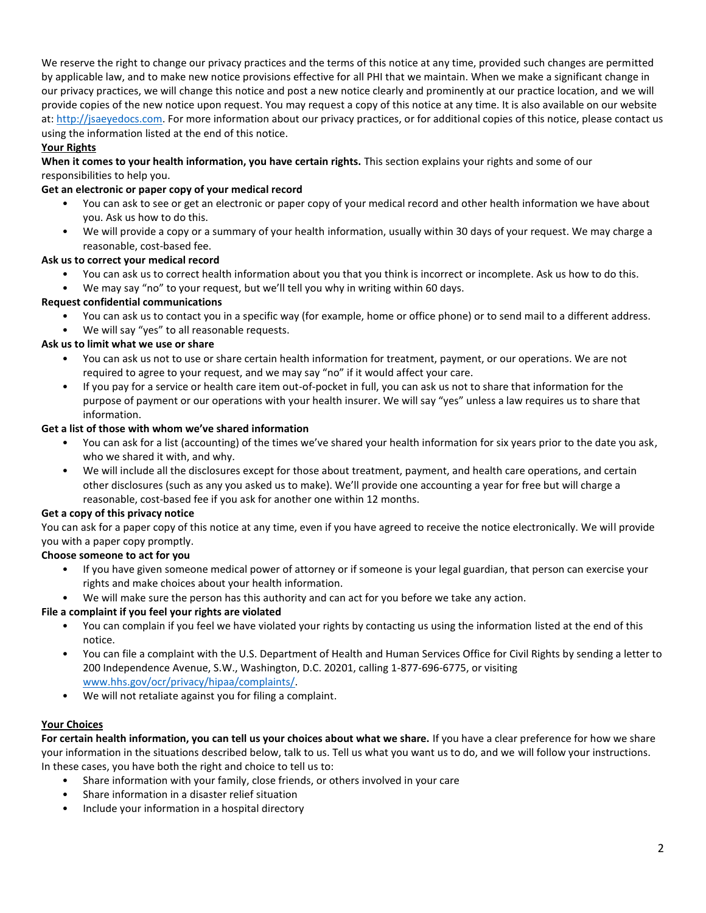We reserve the right to change our privacy practices and the terms of this notice at any time, provided such changes are permitted by applicable law, and to make new notice provisions effective for all PHI that we maintain. When we make a significant change in our privacy practices, we will change this notice and post a new notice clearly and prominently at our practice location, and we will provide copies of the new notice upon request. You may request a copy of this notice at any time. It is also available on our website at: [http://jsaeyedocs.com.](http://jsaeyedocs.com/) For more information about our privacy practices, or for additional copies of this notice, please contact us using the information listed at the end of this notice.

# **Your Rights**

**When it comes to your health information, you have certain rights.** This section explains your rights and some of our responsibilities to help you.

# **Get an electronic or paper copy of your medical record**

- You can ask to see or get an electronic or paper copy of your medical record and other health information we have about you. Ask us how to do this.
- We will provide a copy or a summary of your health information, usually within 30 days of your request. We may charge a reasonable, cost-based fee.

# **Ask us to correct your medical record**

- You can ask us to correct health information about you that you think is incorrect or incomplete. Ask us how to do this.
- We may say "no" to your request, but we'll tell you why in writing within 60 days.

# **Request confidential communications**

- You can ask us to contact you in a specific way (for example, home or office phone) or to send mail to a different address.
- We will say "yes" to all reasonable requests.

# **Ask us to limit what we use or share**

- You can ask us not to use or share certain health information for treatment, payment, or our operations. We are not required to agree to your request, and we may say "no" if it would affect your care.
- If you pay for a service or health care item out-of-pocket in full, you can ask us not to share that information for the purpose of payment or our operations with your health insurer. We will say "yes" unless a law requires us to share that information.

# **Get a list of those with whom we've shared information**

- You can ask for a list (accounting) of the times we've shared your health information for six years prior to the date you ask, who we shared it with, and why.
- We will include all the disclosures except for those about treatment, payment, and health care operations, and certain other disclosures (such as any you asked us to make). We'll provide one accounting a year for free but will charge a reasonable, cost-based fee if you ask for another one within 12 months.

# **Get a copy of this privacy notice**

You can ask for a paper copy of this notice at any time, even if you have agreed to receive the notice electronically. We will provide you with a paper copy promptly.

# **Choose someone to act for you**

- If you have given someone medical power of attorney or if someone is your legal guardian, that person can exercise your rights and make choices about your health information.
- We will make sure the person has this authority and can act for you before we take any action.

# **File a complaint if you feel your rights are violated**

- You can complain if you feel we have violated your rights by contacting us using the information listed at the end of this notice.
- You can file a complaint with the U.S. Department of Health and Human Services Office for Civil Rights by sending a letter to 200 Independence Avenue, S.W., Washington, D.C. 20201, calling 1-877-696-6775, or visiting [www.hhs.gov/ocr/privacy/hipaa/complaints/.](http://www.hhs.gov/ocr/privacy/hipaa/complaints/)
- We will not retaliate against you for filing a complaint.

# **Your Choices**

**For certain health information, you can tell us your choices about what we share.** If you have a clear preference for how we share your information in the situations described below, talk to us. Tell us what you want us to do, and we will follow your instructions. In these cases, you have both the right and choice to tell us to:

- Share information with your family, close friends, or others involved in your care
- Share information in a disaster relief situation
- Include your information in a hospital directory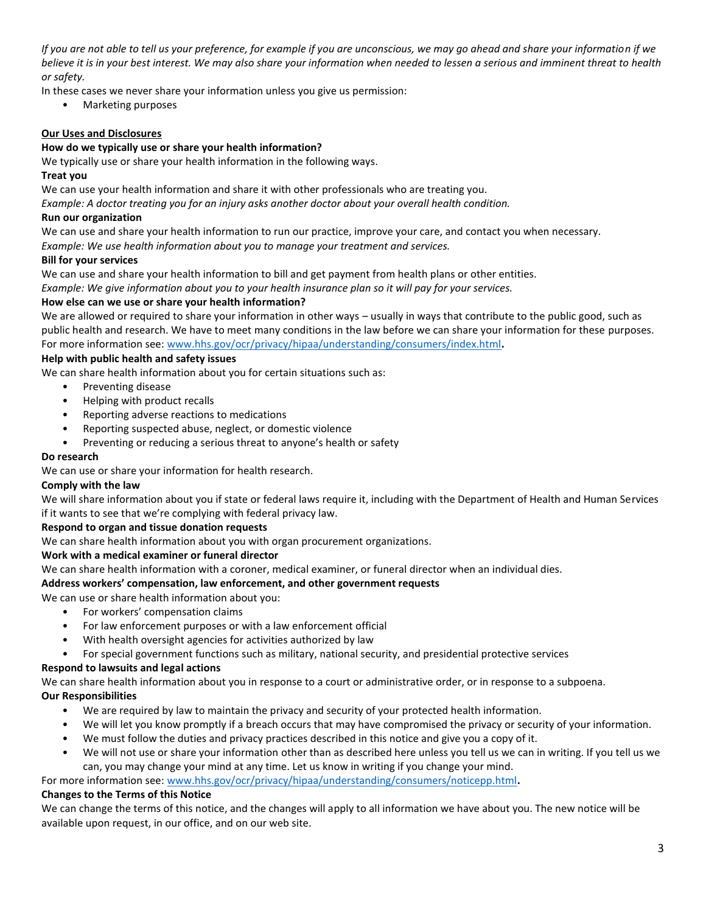*If you are not able to tell us your preference, for example if you are unconscious, we may go ahead and share your information if we believe it is in your best interest. We may also share your information when needed to lessen a serious and imminent threat to health or safety.*

In these cases we never share your information unless you give us permission:

• Marketing purposes

# **Our Uses and Disclosures**

# **How do we typically use or share your health information?**

We typically use or share your health information in the following ways.

## **Treat you**

We can use your health information and share it with other professionals who are treating you.

*Example: A doctor treating you for an injury asks another doctor about your overall health condition.*

## **Run our organization**

We can use and share your health information to run our practice, improve your care, and contact you when necessary.

*Example: We use health information about you to manage your treatment and services.* 

# **Bill for your services**

We can use and share your health information to bill and get payment from health plans or other entities.

*Example: We give information about you to your health insurance plan so it will pay for your services.* 

# **How else can we use or share your health information?**

We are allowed or required to share your information in other ways – usually in ways that contribute to the public good, such as public health and research. We have to meet many conditions in the law before we can share your information for these purposes. For more information see: [www.hhs.gov/ocr/privacy/hipaa/understanding/consumers/index.html](http://www.hhs.gov/ocr/privacy/hipaa/understanding/consumers/index.html)**.**

## **Help with public health and safety issues**

We can share health information about you for certain situations such as:

- Preventing disease
- Helping with product recalls
- Reporting adverse reactions to medications
- Reporting suspected abuse, neglect, or domestic violence
- Preventing or reducing a serious threat to anyone's health or safety

#### **Do research**

We can use or share your information for health research.

#### **Comply with the law**

We will share information about you if state or federal laws require it, including with the Department of Health and Human Services if it wants to see that we're complying with federal privacy law.

# **Respond to organ and tissue donation requests**

We can share health information about you with organ procurement organizations.

# **Work with a medical examiner or funeral director**

We can share health information with a coroner, medical examiner, or funeral director when an individual dies.

# **Address workers' compensation, law enforcement, and other government requests**

We can use or share health information about you:

- For workers' compensation claims
- For law enforcement purposes or with a law enforcement official
- With health oversight agencies for activities authorized by law
- For special government functions such as military, national security, and presidential protective services

# **Respond to lawsuits and legal actions**

We can share health information about you in response to a court or administrative order, or in response to a subpoena.

# **Our Responsibilities**

- We are required by law to maintain the privacy and security of your protected health information.
- We will let you know promptly if a breach occurs that may have compromised the privacy or security of your information.
- We must follow the duties and privacy practices described in this notice and give you a copy of it.
- We will not use or share your information other than as described here unless you tell us we can in writing. If you tell us we can, you may change your mind at any time. Let us know in writing if you change your mind.

For more information see: [www.hhs.gov/ocr/privacy/hipaa/understanding/consumers/noticepp.html](http://www.hhs.gov/ocr/privacy/hipaa/understanding/consumers/noticepp.html)**.**

# **Changes to the Terms of this Notice**

We can change the terms of this notice, and the changes will apply to all information we have about you. The new notice will be available upon request, in our office, and on our web site.